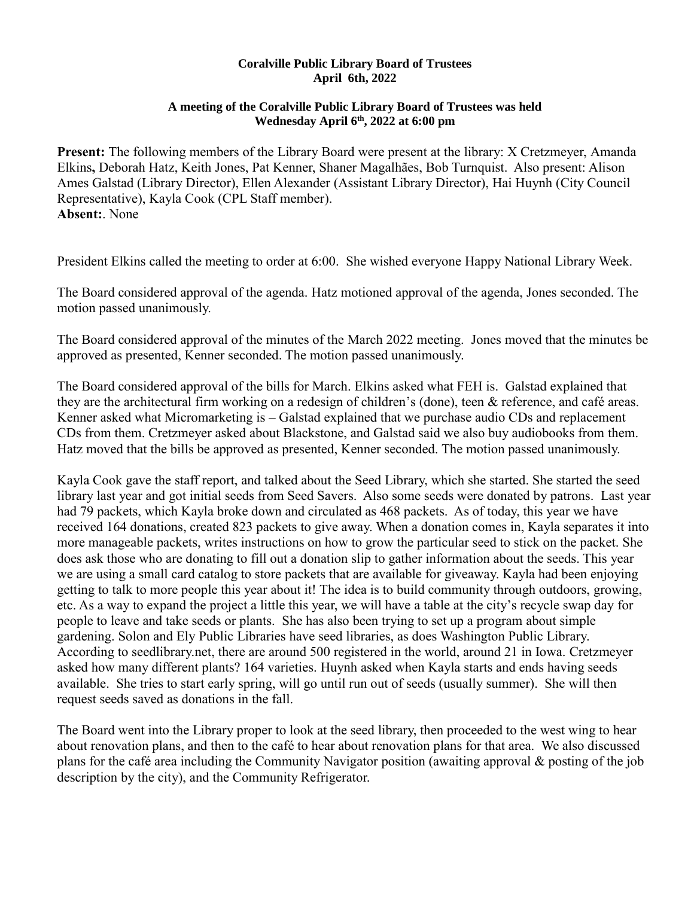## **Coralville Public Library Board of Trustees April 6th, 2022**

## **A meeting of the Coralville Public Library Board of Trustees was held Wednesday April 6th, 2022 at 6:00 pm**

**Present:** The following members of the Library Board were present at the library: X Cretzmeyer, Amanda Elkins**,** Deborah Hatz, Keith Jones, Pat Kenner, Shaner Magalhães, Bob Turnquist. Also present: Alison Ames Galstad (Library Director), Ellen Alexander (Assistant Library Director), Hai Huynh (City Council Representative), Kayla Cook (CPL Staff member). **Absent:**. None

President Elkins called the meeting to order at 6:00. She wished everyone Happy National Library Week.

The Board considered approval of the agenda. Hatz motioned approval of the agenda, Jones seconded. The motion passed unanimously.

The Board considered approval of the minutes of the March 2022 meeting. Jones moved that the minutes be approved as presented, Kenner seconded. The motion passed unanimously.

The Board considered approval of the bills for March. Elkins asked what FEH is. Galstad explained that they are the architectural firm working on a redesign of children's (done), teen & reference, and café areas. Kenner asked what Micromarketing is – Galstad explained that we purchase audio CDs and replacement CDs from them. Cretzmeyer asked about Blackstone, and Galstad said we also buy audiobooks from them. Hatz moved that the bills be approved as presented, Kenner seconded. The motion passed unanimously.

Kayla Cook gave the staff report, and talked about the Seed Library, which she started. She started the seed library last year and got initial seeds from Seed Savers. Also some seeds were donated by patrons. Last year had 79 packets, which Kayla broke down and circulated as 468 packets. As of today, this year we have received 164 donations, created 823 packets to give away. When a donation comes in, Kayla separates it into more manageable packets, writes instructions on how to grow the particular seed to stick on the packet. She does ask those who are donating to fill out a donation slip to gather information about the seeds. This year we are using a small card catalog to store packets that are available for giveaway. Kayla had been enjoying getting to talk to more people this year about it! The idea is to build community through outdoors, growing, etc. As a way to expand the project a little this year, we will have a table at the city's recycle swap day for people to leave and take seeds or plants. She has also been trying to set up a program about simple gardening. Solon and Ely Public Libraries have seed libraries, as does Washington Public Library. According to seedlibrary.net, there are around 500 registered in the world, around 21 in Iowa. Cretzmeyer asked how many different plants? 164 varieties. Huynh asked when Kayla starts and ends having seeds available. She tries to start early spring, will go until run out of seeds (usually summer). She will then request seeds saved as donations in the fall.

The Board went into the Library proper to look at the seed library, then proceeded to the west wing to hear about renovation plans, and then to the café to hear about renovation plans for that area. We also discussed plans for the café area including the Community Navigator position (awaiting approval & posting of the job description by the city), and the Community Refrigerator.